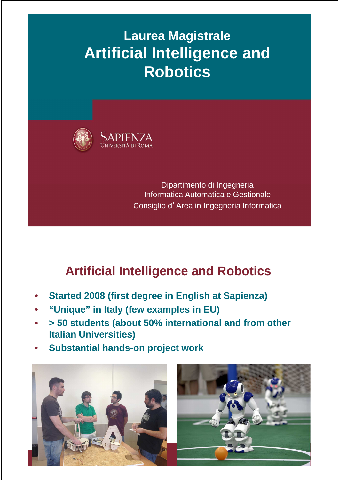# **Laurea Magistrale Artificial Intelligence and Robotics**



Dipartimento di Ingegneria Informatica Automatica e Gestionale Consiglio d'Area in Ingegneria Informatica

### **Artificial Intelligence and Robotics**

- **Started 2008 (first degree in English at Sapienza)**
- **"Unique" in Italy (few examples in EU)**
- **> 50 students (about 50% international and from other Italian Universities)**
- **Substantial hands-on project work**



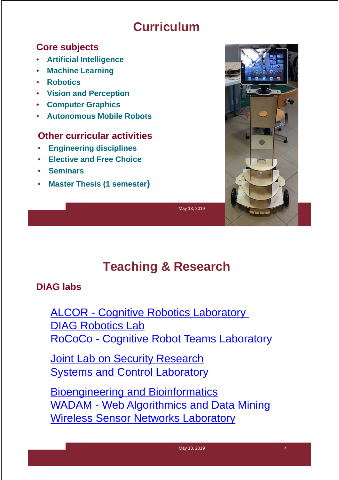### **Curriculum**

#### **Core subjects**

- **Artificial Intelligence**
- **Machine Learning**
- **Robotics**
- **Vision and Perception**
- **Computer Graphics**
- **Autonomous Mobile Robots**

#### **Other curricular activities**

- **Engineering disciplines**
- **Elective and Free Choice**
- **Seminars**
- **Master Thesis (1 semester)**



May 13, 2019

# **Teaching & Research**

#### **DIAG labs**

ALCOR - Cognitive Robotics Laboratory DIAG Robotics Lab RoCoCo - Cognitive Robot Teams Laboratory

**Joint Lab on Security Research Systems and Control Laboratory** 

Bioengineering and Bioinformatics WADAM - Web Algorithmics and Data Mining Wireless Sensor Networks Laboratory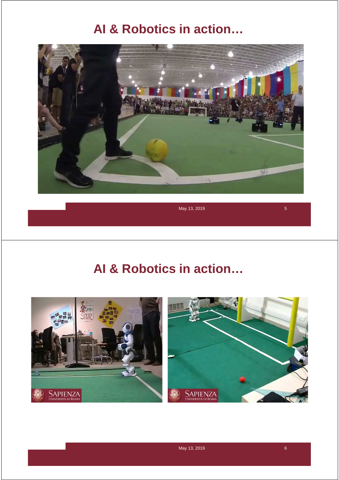### **AI & Robotics in action…**



May 13, 2019  $\overline{5}$ 

### **AI & Robotics in action…**



May 13, 2019 **6**